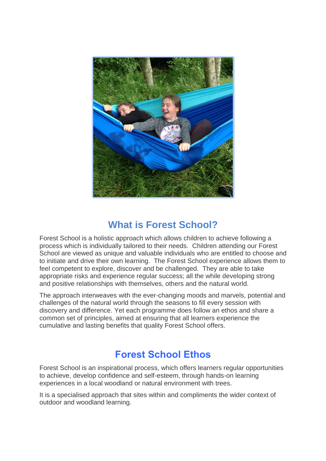

### **What is Forest School?**

Forest School is a holistic approach which allows children to achieve following a process which is individually tailored to their needs. Children attending our Forest School are viewed as unique and valuable individuals who are entitled to choose and to initiate and drive their own learning. The Forest School experience allows them to feel competent to explore, discover and be challenged. They are able to take appropriate risks and experience regular success; all the while developing strong and positive relationships with themselves, others and the natural world.

The approach interweaves with the ever-changing moods and marvels, potential and challenges of the natural world through the seasons to fill every session with discovery and difference. Yet each programme does follow an ethos and share a common set of principles, aimed at ensuring that all learners experience the cumulative and lasting benefits that quality Forest School offers.

### **Forest School Ethos**

Forest School is an inspirational process, which offers learners regular opportunities to achieve, develop confidence and self-esteem, through hands-on learning experiences in a local woodland or natural environment with trees.

It is a specialised approach that sites within and compliments the wider context of outdoor and woodland learning.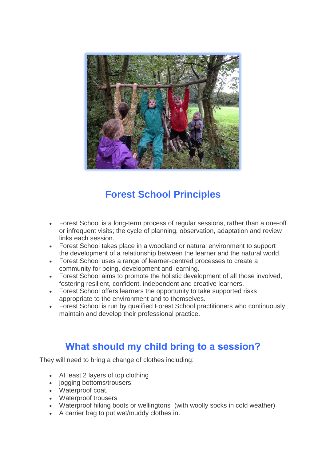

# **Forest School Principles**

- Forest School is a long-term process of regular sessions, rather than a one-off or infrequent visits; the cycle of planning, observation, adaptation and review links each session.
- Forest School takes place in a woodland or natural environment to support the development of a relationship between the learner and the natural world.
- Forest School uses a range of learner-centred processes to create a community for being, development and learning.
- Forest School aims to promote the holistic development of all those involved, fostering resilient, confident, independent and creative learners.
- Forest School offers learners the opportunity to take supported risks appropriate to the environment and to themselves.
- Forest School is run by qualified Forest School practitioners who continuously maintain and develop their professional practice.

## **What should my child bring to a session?**

They will need to bring a change of clothes including:

- At least 2 layers of top clothing
- jogging bottoms/trousers
- Waterproof coat.
- Waterproof trousers
- Waterproof hiking boots or wellingtons (with woolly socks in cold weather)
- A carrier bag to put wet/muddy clothes in.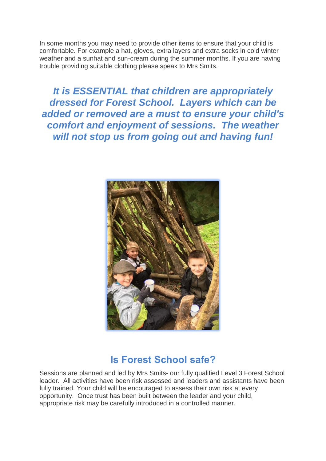In some months you may need to provide other items to ensure that your child is comfortable. For example a hat, gloves, extra layers and extra socks in cold winter weather and a sunhat and sun-cream during the summer months. If you are having trouble providing suitable clothing please speak to Mrs Smits.

*It is ESSENTIAL that children are appropriately dressed for Forest School. Layers which can be added or removed are a must to ensure your child's comfort and enjoyment of sessions. The weather will not stop us from going out and having fun!*



### **Is Forest School safe?**

Sessions are planned and led by Mrs Smits- our fully qualified Level 3 Forest School leader. All activities have been risk assessed and leaders and assistants have been fully trained. Your child will be encouraged to assess their own risk at every opportunity. Once trust has been built between the leader and your child, appropriate risk may be carefully introduced in a controlled manner.